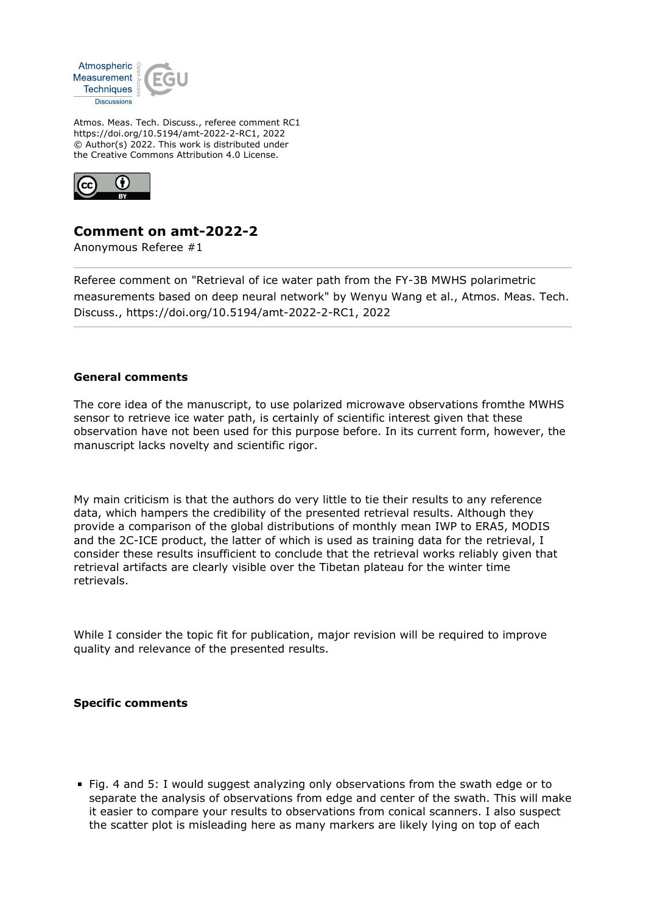

Atmos. Meas. Tech. Discuss., referee comment RC1 https://doi.org/10.5194/amt-2022-2-RC1, 2022 © Author(s) 2022. This work is distributed under the Creative Commons Attribution 4.0 License.



## **Comment on amt-2022-2**

Anonymous Referee #1

Referee comment on "Retrieval of ice water path from the FY-3B MWHS polarimetric measurements based on deep neural network" by Wenyu Wang et al., Atmos. Meas. Tech. Discuss., https://doi.org/10.5194/amt-2022-2-RC1, 2022

## **General comments**

The core idea of the manuscript, to use polarized microwave observations fromthe MWHS sensor to retrieve ice water path, is certainly of scientific interest given that these observation have not been used for this purpose before. In its current form, however, the manuscript lacks novelty and scientific rigor.

My main criticism is that the authors do very little to tie their results to any reference data, which hampers the credibility of the presented retrieval results. Although they provide a comparison of the global distributions of monthly mean IWP to ERA5, MODIS and the 2C-ICE product, the latter of which is used as training data for the retrieval, I consider these results insufficient to conclude that the retrieval works reliably given that retrieval artifacts are clearly visible over the Tibetan plateau for the winter time retrievals.

While I consider the topic fit for publication, major revision will be required to improve quality and relevance of the presented results.

## **Specific comments**

Fig. 4 and 5: I would suggest analyzing only observations from the swath edge or to separate the analysis of observations from edge and center of the swath. This will make it easier to compare your results to observations from conical scanners. I also suspect the scatter plot is misleading here as many markers are likely lying on top of each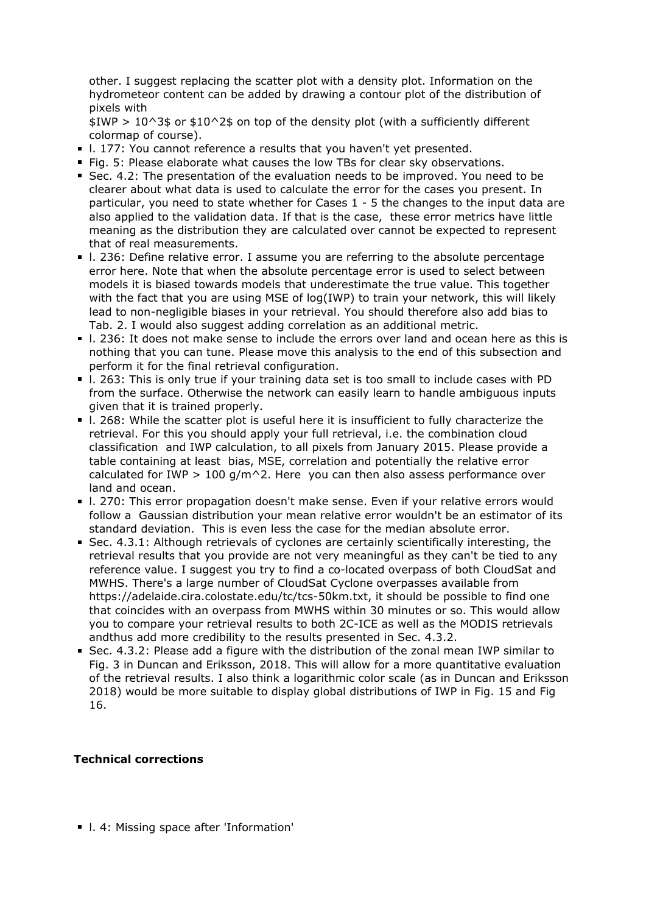other. I suggest replacing the scatter plot with a density plot. Information on the hydrometeor content can be added by drawing a contour plot of the distribution of pixels with

 $$IWP > 10^3$$  or \$10^2\$ on top of the density plot (with a sufficiently different colormap of course).

- 1. 177: You cannot reference a results that you haven't yet presented.
- Fig. 5: Please elaborate what causes the low TBs for clear sky observations.
- Sec. 4.2: The presentation of the evaluation needs to be improved. You need to be clearer about what data is used to calculate the error for the cases you present. In particular, you need to state whether for Cases 1 - 5 the changes to the input data are also applied to the validation data. If that is the case, these error metrics have little meaning as the distribution they are calculated over cannot be expected to represent that of real measurements.
- l. 236: Define relative error. I assume you are referring to the absolute percentage error here. Note that when the absolute percentage error is used to select between models it is biased towards models that underestimate the true value. This together with the fact that you are using MSE of log(IWP) to train your network, this will likely lead to non-negligible biases in your retrieval. You should therefore also add bias to Tab. 2. I would also suggest adding correlation as an additional metric.
- l. 236: It does not make sense to include the errors over land and ocean here as this is nothing that you can tune. Please move this analysis to the end of this subsection and perform it for the final retrieval configuration.
- l. 263: This is only true if your training data set is too small to include cases with PD from the surface. Otherwise the network can easily learn to handle ambiguous inputs given that it is trained properly.
- l. 268: While the scatter plot is useful here it is insufficient to fully characterize the retrieval. For this you should apply your full retrieval, i.e. the combination cloud classification and IWP calculation, to all pixels from January 2015. Please provide a table containing at least bias, MSE, correlation and potentially the relative error calculated for IWP > 100  $q/m^2$ . Here you can then also assess performance over land and ocean.
- l. 270: This error propagation doesn't make sense. Even if your relative errors would follow a Gaussian distribution your mean relative error wouldn't be an estimator of its standard deviation. This is even less the case for the median absolute error.
- Sec. 4.3.1: Although retrievals of cyclones are certainly scientifically interesting, the retrieval results that you provide are not very meaningful as they can't be tied to any reference value. I suggest you try to find a co-located overpass of both CloudSat and MWHS. There's a large number of CloudSat Cyclone overpasses available from https://adelaide.cira.colostate.edu/tc/tcs-50km.txt, it should be possible to find one that coincides with an overpass from MWHS within 30 minutes or so. This would allow you to compare your retrieval results to both 2C-ICE as well as the MODIS retrievals andthus add more credibility to the results presented in Sec. 4.3.2.
- Sec. 4.3.2: Please add a figure with the distribution of the zonal mean IWP similar to Fig. 3 in Duncan and Eriksson, 2018. This will allow for a more quantitative evaluation of the retrieval results. I also think a logarithmic color scale (as in Duncan and Eriksson 2018) would be more suitable to display global distributions of IWP in Fig. 15 and Fig 16.

## **Technical corrections**

**I. 4: Missing space after 'Information'**